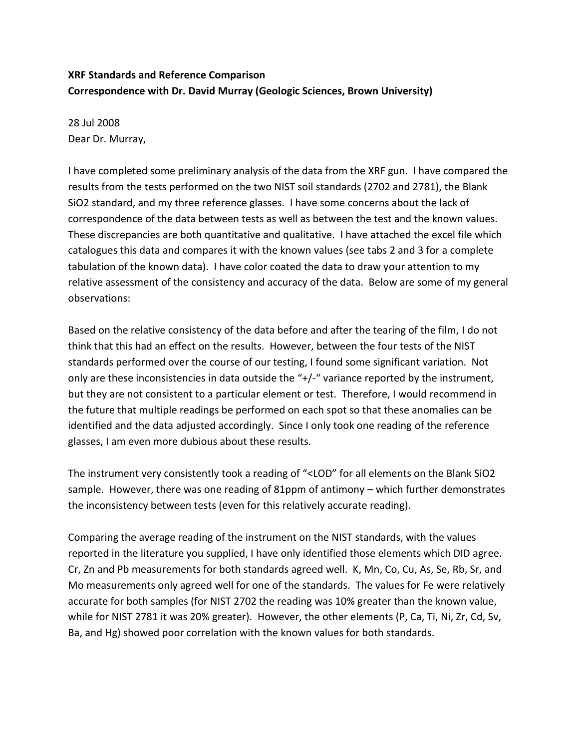## **XRF Standards and Reference Comparison Correspondence with Dr. David Murray (Geologic Sciences, Brown University)**

28 Jul 2008 Dear Dr. Murray,

I have completed some preliminary analysis of the data from the XRF gun. I have compared the results from the tests performed on the two NIST soil standards (2702 and 2781), the Blank SiO2 standard, and my three reference glasses. I have some concerns about the lack of correspondence of the data between tests as well as between the test and the known values. These discrepancies are both quantitative and qualitative. I have attached the excel file which catalogues this data and compares it with the known values (see tabs 2 and 3 for a complete tabulation of the known data). I have color coated the data to draw your attention to my relative assessment of the consistency and accuracy of the data. Below are some of my general observations:

Based on the relative consistency of the data before and after the tearing of the film, I do not think that this had an effect on the results. However, between the four tests of the NIST standards performed over the course of our testing, I found some significant variation. Not only are these inconsistencies in data outside the "+/-" variance reported by the instrument, but they are not consistent to a particular element or test. Therefore, I would recommend in the future that multiple readings be performed on each spot so that these anomalies can be identified and the data adjusted accordingly. Since I only took one reading of the reference glasses, I am even more dubious about these results.

The instrument very consistently took a reading of "<LOD" for all elements on the Blank SiO2 sample. However, there was one reading of 81ppm of antimony – which further demonstrates the inconsistency between tests (even for this relatively accurate reading).

Comparing the average reading of the instrument on the NIST standards, with the values reported in the literature you supplied, I have only identified those elements which DID agree. Cr, Zn and Pb measurements for both standards agreed well. K, Mn, Co, Cu, As, Se, Rb, Sr, and Mo measurements only agreed well for one of the standards. The values for Fe were relatively accurate for both samples (for NIST 2702 the reading was 10% greater than the known value, while for NIST 2781 it was 20% greater). However, the other elements (P, Ca, Ti, Ni, Zr, Cd, Sv, Ba, and Hg) showed poor correlation with the known values for both standards.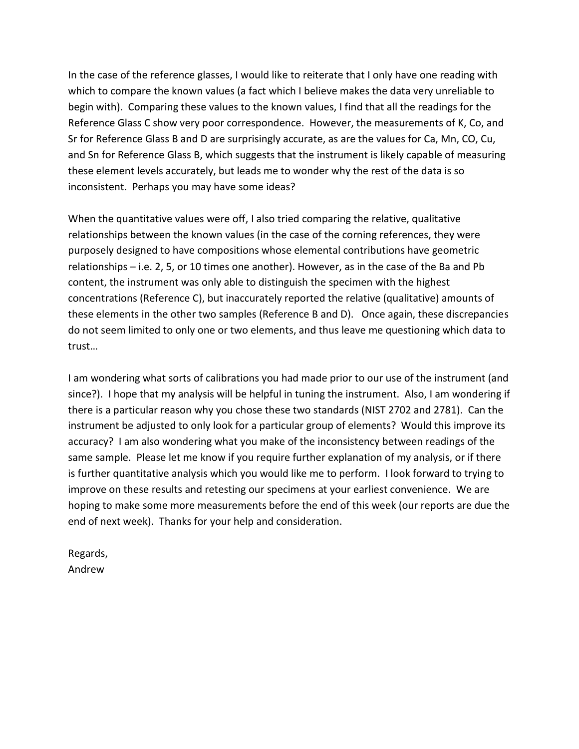In the case of the reference glasses, I would like to reiterate that I only have one reading with which to compare the known values (a fact which I believe makes the data very unreliable to begin with). Comparing these values to the known values, I find that all the readings for the Reference Glass C show very poor correspondence. However, the measurements of K, Co, and Sr for Reference Glass B and D are surprisingly accurate, as are the values for Ca, Mn, CO, Cu, and Sn for Reference Glass B, which suggests that the instrument is likely capable of measuring these element levels accurately, but leads me to wonder why the rest of the data is so inconsistent. Perhaps you may have some ideas?

When the quantitative values were off, I also tried comparing the relative, qualitative relationships between the known values (in the case of the corning references, they were purposely designed to have compositions whose elemental contributions have geometric relationships – i.e. 2, 5, or 10 times one another). However, as in the case of the Ba and Pb content, the instrument was only able to distinguish the specimen with the highest concentrations (Reference C), but inaccurately reported the relative (qualitative) amounts of these elements in the other two samples (Reference B and D). Once again, these discrepancies do not seem limited to only one or two elements, and thus leave me questioning which data to trust…

I am wondering what sorts of calibrations you had made prior to our use of the instrument (and since?). I hope that my analysis will be helpful in tuning the instrument. Also, I am wondering if there is a particular reason why you chose these two standards (NIST 2702 and 2781). Can the instrument be adjusted to only look for a particular group of elements? Would this improve its accuracy? I am also wondering what you make of the inconsistency between readings of the same sample. Please let me know if you require further explanation of my analysis, or if there is further quantitative analysis which you would like me to perform. I look forward to trying to improve on these results and retesting our specimens at your earliest convenience. We are hoping to make some more measurements before the end of this week (our reports are due the end of next week). Thanks for your help and consideration.

Regards, Andrew